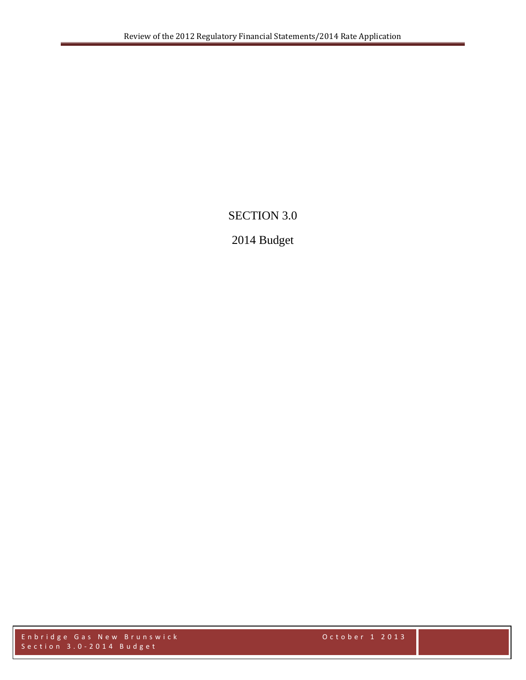# SECTION 3.0

# 2014 Budget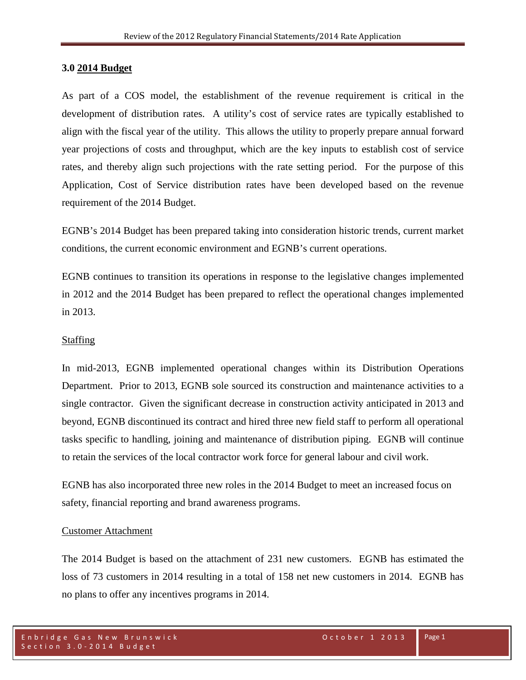#### **3.0 2014 Budget**

As part of a COS model, the establishment of the revenue requirement is critical in the development of distribution rates. A utility's cost of service rates are typically established to align with the fiscal year of the utility. This allows the utility to properly prepare annual forward year projections of costs and throughput, which are the key inputs to establish cost of service rates, and thereby align such projections with the rate setting period. For the purpose of this Application, Cost of Service distribution rates have been developed based on the revenue requirement of the 2014 Budget.

EGNB's 2014 Budget has been prepared taking into consideration historic trends, current market conditions, the current economic environment and EGNB's current operations.

EGNB continues to transition its operations in response to the legislative changes implemented in 2012 and the 2014 Budget has been prepared to reflect the operational changes implemented in 2013.

### Staffing

In mid-2013, EGNB implemented operational changes within its Distribution Operations Department. Prior to 2013, EGNB sole sourced its construction and maintenance activities to a single contractor. Given the significant decrease in construction activity anticipated in 2013 and beyond, EGNB discontinued its contract and hired three new field staff to perform all operational tasks specific to handling, joining and maintenance of distribution piping. EGNB will continue to retain the services of the local contractor work force for general labour and civil work.

EGNB has also incorporated three new roles in the 2014 Budget to meet an increased focus on safety, financial reporting and brand awareness programs.

#### Customer Attachment

The 2014 Budget is based on the attachment of 231 new customers. EGNB has estimated the loss of 73 customers in 2014 resulting in a total of 158 net new customers in 2014. EGNB has no plans to offer any incentives programs in 2014.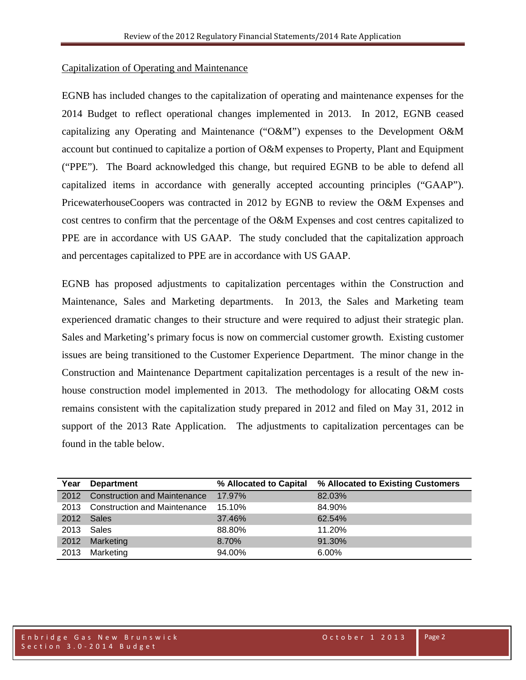### Capitalization of Operating and Maintenance

EGNB has included changes to the capitalization of operating and maintenance expenses for the 2014 Budget to reflect operational changes implemented in 2013. In 2012, EGNB ceased capitalizing any Operating and Maintenance ("O&M") expenses to the Development O&M account but continued to capitalize a portion of O&M expenses to Property, Plant and Equipment ("PPE"). The Board acknowledged this change, but required EGNB to be able to defend all capitalized items in accordance with generally accepted accounting principles ("GAAP"). PricewaterhouseCoopers was contracted in 2012 by EGNB to review the O&M Expenses and cost centres to confirm that the percentage of the O&M Expenses and cost centres capitalized to PPE are in accordance with US GAAP. The study concluded that the capitalization approach and percentages capitalized to PPE are in accordance with US GAAP.

EGNB has proposed adjustments to capitalization percentages within the Construction and Maintenance, Sales and Marketing departments. In 2013, the Sales and Marketing team experienced dramatic changes to their structure and were required to adjust their strategic plan. Sales and Marketing's primary focus is now on commercial customer growth. Existing customer issues are being transitioned to the Customer Experience Department. The minor change in the Construction and Maintenance Department capitalization percentages is a result of the new inhouse construction model implemented in 2013. The methodology for allocating O&M costs remains consistent with the capitalization study prepared in 2012 and filed on May 31, 2012 in support of the 2013 Rate Application. The adjustments to capitalization percentages can be found in the table below.

| Year | <b>Department</b>                   | % Allocated to Capital | % Allocated to Existing Customers |
|------|-------------------------------------|------------------------|-----------------------------------|
| 2012 | <b>Construction and Maintenance</b> | 17.97%                 | 82.03%                            |
|      | 2013 Construction and Maintenance   | 15.10%                 | 84.90%                            |
| 2012 | Sales                               | 37.46%                 | 62.54%                            |
| 2013 | Sales                               | 88.80%                 | 11.20%                            |
| 2012 | Marketing                           | 8.70%                  | 91.30%                            |
| 2013 | Marketing                           | 94.00%                 | $6.00\%$                          |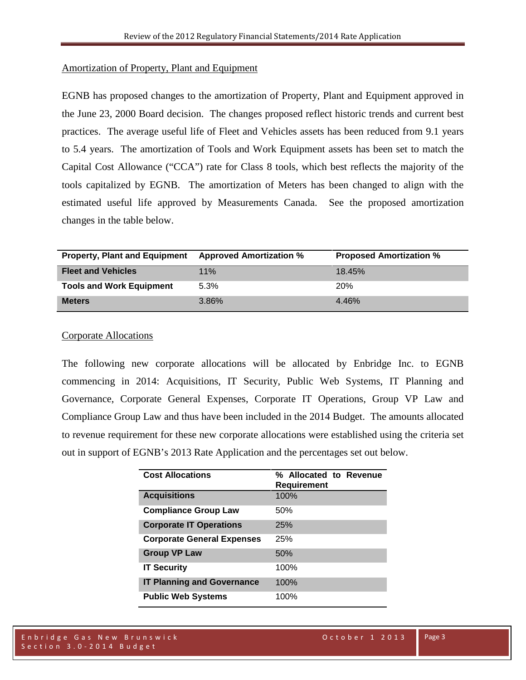#### Amortization of Property, Plant and Equipment

EGNB has proposed changes to the amortization of Property, Plant and Equipment approved in the June 23, 2000 Board decision. The changes proposed reflect historic trends and current best practices. The average useful life of Fleet and Vehicles assets has been reduced from 9.1 years to 5.4 years. The amortization of Tools and Work Equipment assets has been set to match the Capital Cost Allowance ("CCA") rate for Class 8 tools, which best reflects the majority of the tools capitalized by EGNB. The amortization of Meters has been changed to align with the estimated useful life approved by Measurements Canada. See the proposed amortization changes in the table below.

| <b>Property, Plant and Equipment</b> | <b>Approved Amortization %</b> | <b>Proposed Amortization %</b> |
|--------------------------------------|--------------------------------|--------------------------------|
| <b>Fleet and Vehicles</b>            | 11%                            | 18.45%                         |
| <b>Tools and Work Equipment</b>      | $5.3\%$                        | <b>20%</b>                     |
| <b>Meters</b>                        | 3.86%                          | $4.46\%$                       |

### Corporate Allocations

The following new corporate allocations will be allocated by Enbridge Inc. to EGNB commencing in 2014: Acquisitions, IT Security, Public Web Systems, IT Planning and Governance, Corporate General Expenses, Corporate IT Operations, Group VP Law and Compliance Group Law and thus have been included in the 2014 Budget. The amounts allocated to revenue requirement for these new corporate allocations were established using the criteria set out in support of EGNB's 2013 Rate Application and the percentages set out below.

| <b>Cost Allocations</b>           | % Allocated to Revenue<br><b>Requirement</b> |
|-----------------------------------|----------------------------------------------|
| <b>Acquisitions</b>               | 100%                                         |
| <b>Compliance Group Law</b>       | 50%                                          |
| <b>Corporate IT Operations</b>    | 25%                                          |
| <b>Corporate General Expenses</b> | 25%                                          |
| <b>Group VP Law</b>               | 50%                                          |
| <b>IT Security</b>                | 100%                                         |
| <b>IT Planning and Governance</b> | 100%                                         |
| <b>Public Web Systems</b>         | 100%                                         |